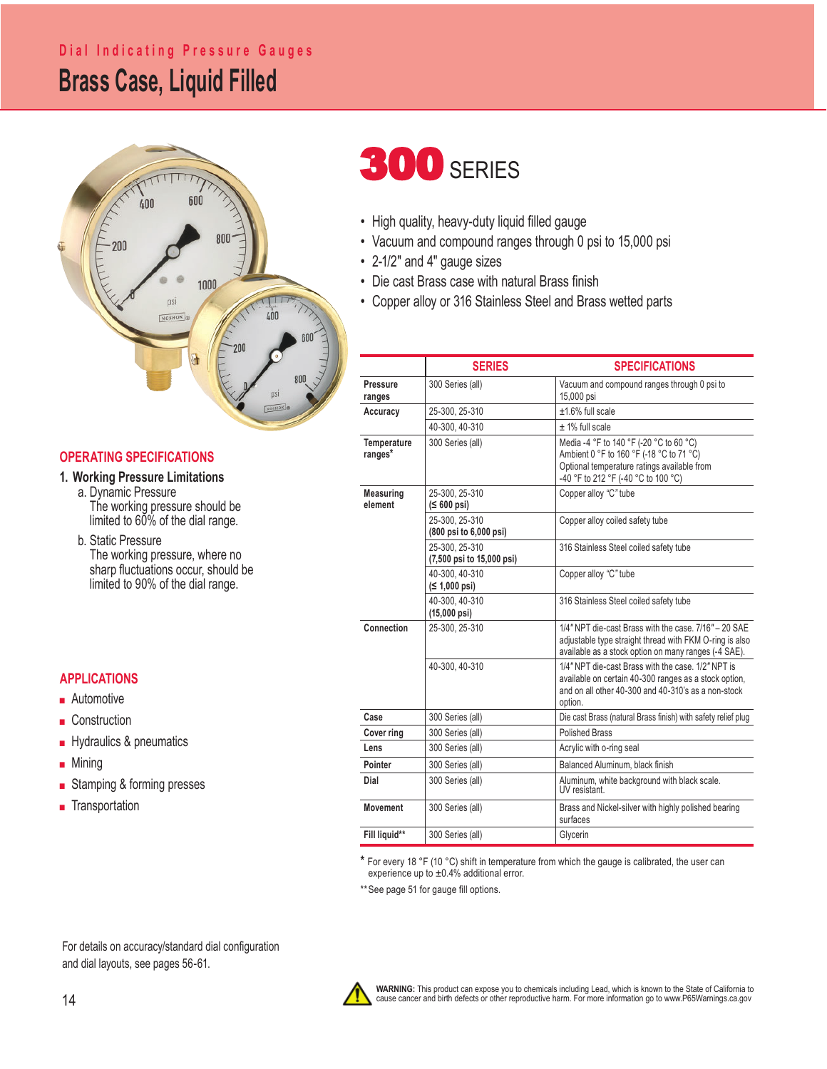## **Brass Case, Liquid Filled Dial Indicating Pressure Gauges**



### **OPERATING SPECIFICATIONS**

**1. Working Pressure Limitations**

 a. Dynamic Pressure The working pressure should be limited to 60% of the dial range.

 b. Static Pressure The working pressure, where no sharp fluctuations occur, should be limited to 90% of the dial range.

### **APPLICATIONS**

- Automotive
- Construction
- Hydraulics & pneumatics
- Mining
- Stamping & forming presses
- Transportation

# **300 SERIES**

- High quality, heavy-duty liquid filled gauge
- Vacuum and compound ranges through 0 psi to 15,000 psi
- 2-1/2" and 4" gauge sizes
- Die cast Brass case with natural Brass finish
- Copper alloy or 316 Stainless Steel and Brass wetted parts

|                             | <b>SERIES</b>                               | <b>SPECIFICATIONS</b>                                                                                                                                                         |  |  |  |
|-----------------------------|---------------------------------------------|-------------------------------------------------------------------------------------------------------------------------------------------------------------------------------|--|--|--|
| <b>Pressure</b><br>ranges   | 300 Series (all)                            | Vacuum and compound ranges through 0 psi to<br>15,000 psi                                                                                                                     |  |  |  |
| Accuracy                    | 25-300, 25-310                              | $±1.6\%$ full scale                                                                                                                                                           |  |  |  |
|                             | 40-300.40-310                               | $± 1\%$ full scale                                                                                                                                                            |  |  |  |
| Temperature<br>ranges*      | 300 Series (all)                            | Media -4 °F to 140 °F (-20 °C to 60 °C)<br>Ambient 0 °F to 160 °F (-18 °C to 71 °C)<br>Optional temperature ratings available from<br>-40 °F to 212 °F (-40 °C to 100 °C)     |  |  |  |
| <b>Measuring</b><br>element | 25-300. 25-310<br>$( \leq 600 \text{ psi})$ | Copper alloy "C" tube                                                                                                                                                         |  |  |  |
|                             | 25-300. 25-310<br>(800 psi to 6,000 psi)    | Copper alloy coiled safety tube                                                                                                                                               |  |  |  |
|                             | 25-300. 25-310<br>(7,500 psi to 15,000 psi) | 316 Stainless Steel coiled safety tube                                                                                                                                        |  |  |  |
|                             | 40-300, 40-310<br>(≤ 1,000 psi)             | Copper alloy "C" tube                                                                                                                                                         |  |  |  |
|                             | 40-300.40-310<br>$(15,000 \text{ psi})$     | 316 Stainless Steel coiled safety tube                                                                                                                                        |  |  |  |
| Connection                  | 25-300, 25-310                              | 1/4" NPT die-cast Brass with the case, 7/16" - 20 SAE<br>adjustable type straight thread with FKM O-ring is also<br>available as a stock option on many ranges (-4 SAE).      |  |  |  |
|                             | 40-300.40-310                               | 1/4" NPT die-cast Brass with the case, 1/2" NPT is<br>available on certain 40-300 ranges as a stock option,<br>and on all other 40-300 and 40-310's as a non-stock<br>option. |  |  |  |
| Case                        | 300 Series (all)                            | Die cast Brass (natural Brass finish) with safety relief plug                                                                                                                 |  |  |  |
| <b>Cover ring</b>           | 300 Series (all)                            | <b>Polished Brass</b>                                                                                                                                                         |  |  |  |
| Lens                        | 300 Series (all)                            | Acrylic with o-ring seal                                                                                                                                                      |  |  |  |
| Pointer                     | 300 Series (all)                            | Balanced Aluminum, black finish                                                                                                                                               |  |  |  |
| Dial                        | 300 Series (all)                            | Aluminum, white background with black scale.<br>UV resistant.                                                                                                                 |  |  |  |
| <b>Movement</b>             | 300 Series (all)                            | Brass and Nickel-silver with highly polished bearing<br>surfaces                                                                                                              |  |  |  |
| Fill liquid**               | 300 Series (all)                            | Glycerin                                                                                                                                                                      |  |  |  |

**\*** For every 18 °F (10 °C) shift in temperature from which the gauge is calibrated, the user can experience up to ±0.4% additional error.

\*\* See page 51 for gauge fill options.

For details on accuracy/standard dial configuration and dial layouts, see pages 56-61.

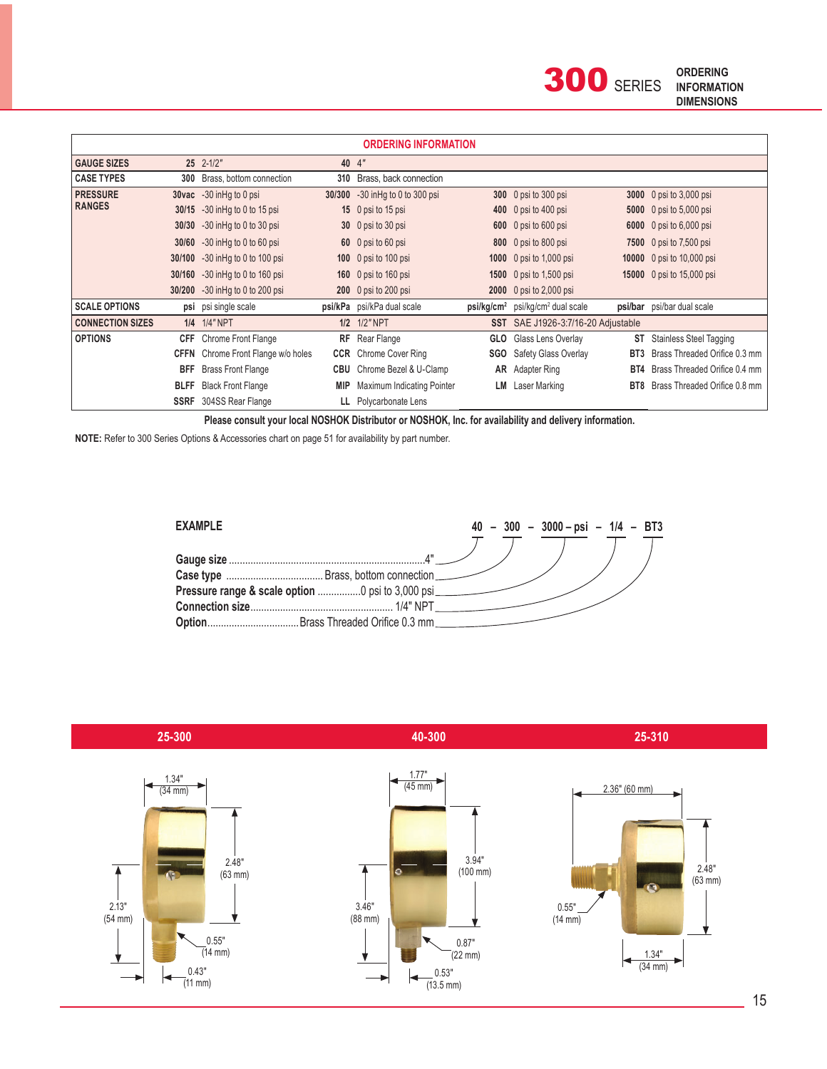| <b>ORDERING INFORMATION</b> |             |                                           |        |                            |            |                                                          |     |                                |  |
|-----------------------------|-------------|-------------------------------------------|--------|----------------------------|------------|----------------------------------------------------------|-----|--------------------------------|--|
| <b>GAUGE SIZES</b>          |             | $25$ $2-1/2$ "                            |        | 40 4"                      |            |                                                          |     |                                |  |
| <b>CASE TYPES</b>           |             | 300 Brass, bottom connection              | 310    | Brass, back connection     |            |                                                          |     |                                |  |
| <b>PRESSURE</b>             |             | 30vac -30 in Hq to 0 psi                  | 30/300 | -30 in Hg to 0 to 300 psi  |            | 300 0 psi to 300 psi                                     |     | 3000 0 psi to 3,000 psi        |  |
| <b>RANGES</b>               |             | 30/15 -30 in Hg to 0 to 15 psi            |        | 15 0 psi to 15 psi         |            | 400 0 psi to 400 psi                                     |     | <b>5000</b> 0 psi to 5,000 psi |  |
|                             |             | 30/30 -30 in Hg to 0 to 30 psi            |        | 30 0 psi to 30 psi         |            | 600 0 psi to 600 psi                                     |     | 6000 0 psi to 6,000 psi        |  |
|                             |             | 30/60 -30 in Hg to 0 to 60 psi            |        | 60 0 psi to 60 psi         |            | 800 0 psi to 800 psi                                     |     | 7500 0 psi to 7,500 psi        |  |
|                             | 30/100      | -30 in Hq to 0 to 100 psi                 |        | 100 0 psi to 100 psi       |            | 1000 0 psi to 1,000 psi                                  |     | 10000 0 psi to 10,000 psi      |  |
|                             |             | 30/160 -30 in Hg to 0 to 160 psi          |        | 160 0 psi to 160 psi       |            | 1500 0 psi to 1,500 psi                                  |     | 15000 0 psi to 15,000 psi      |  |
|                             | 30/200      | -30 in Hq to 0 to 200 psi                 |        | 200 0 psi to 200 psi       |            | 2000 0 psi to 2,000 psi                                  |     |                                |  |
| <b>SCALE OPTIONS</b>        |             | psi psi single scale                      |        | psi/kPa psi/kPa dual scale |            | psi/kg/cm <sup>2</sup> psi/kg/cm <sup>2</sup> dual scale |     | psi/bar psi/bar dual scale     |  |
| <b>CONNECTION SIZES</b>     |             | 1/4 1/4" NPT                              |        | 1/2 1/2" NPT               |            | SST SAE J1926-3:7/16-20 Adjustable                       |     |                                |  |
| <b>OPTIONS</b>              | <b>CFF</b>  | Chrome Front Flange                       | RF     | Rear Flange                | <b>GLO</b> | Glass Lens Overlay                                       | ST  | <b>Stainless Steel Tagging</b> |  |
|                             |             | <b>CFFN</b> Chrome Front Flange w/o holes | CCR    | Chrome Cover Ring          |            | <b>SGO</b> Safety Glass Overlay                          | BT3 | Brass Threaded Orifice 0.3 mm  |  |
|                             | BFF         | <b>Brass Front Flange</b>                 | CBU    | Chrome Bezel & U-Clamp     |            | <b>AR</b> Adapter Ring                                   | BT4 | Brass Threaded Orifice 0.4 mm  |  |
|                             | <b>BLFF</b> | <b>Black Front Flange</b>                 | MIP    | Maximum Indicating Pointer | LM         | Laser Marking                                            | BT8 | Brass Threaded Orifice 0.8 mm  |  |
|                             |             | <b>SSRF</b> 304SS Rear Flange             | Ш.     | Polycarbonate Lens         |            |                                                          |     |                                |  |

**Please consult your local NOSHOK Distributor or NOSHOK, Inc. for availability and delivery information.**

 **NOTE:** Refer to 300 Series Options & Accessories chart on page 51 for availability by part number.



 **25-300 40-300 25-310**

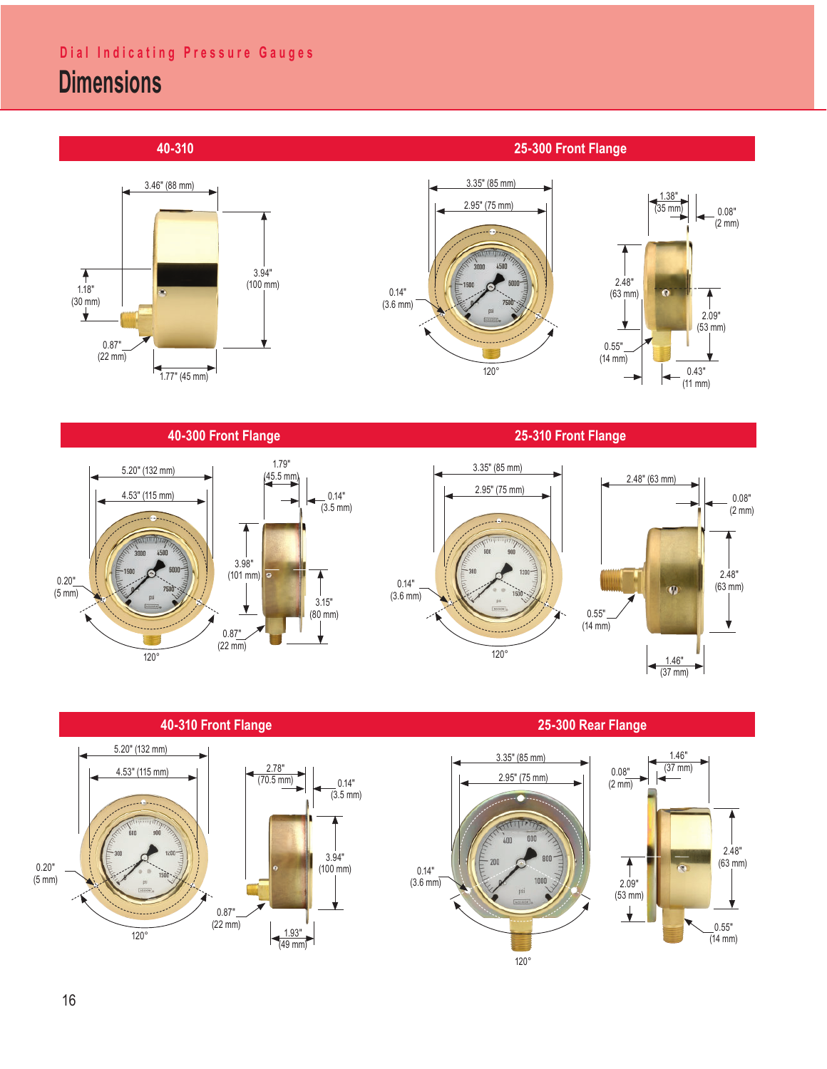# **Dial Indicating Pressure Gauges**

# **Dimensions**





### **40-300 Front Flange**



 $0.14"$  $(3.5 \, \text{mm})$ 

3.94" (100 mm)

**40-310 Front Flange**

 $0.87"$ <br>(22 mm)

 $(22 \text{ mm})$   $\qquad \qquad$  1.93"

2.78" (70.5 mm)

(49 mm)

5.20" (132 mm)

4.53" (115 mm)

120°



2.48" (63 mm)

0.08" (2 mm)



0.20" (5 mm)